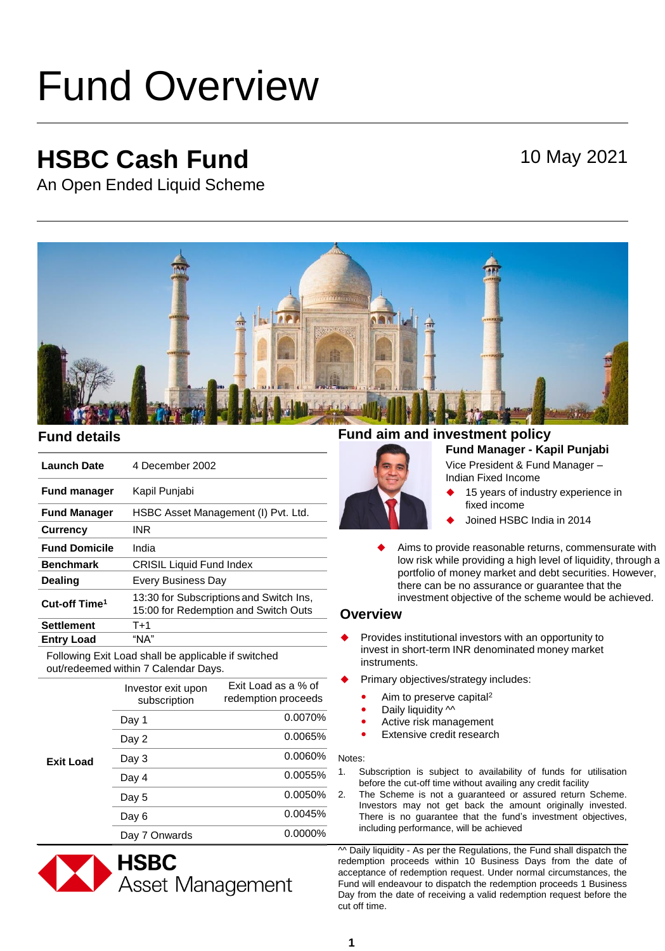# Fund Overview

## **HSBC Cash Fund**

### 10 May 2021

An Open Ended Liquid Scheme



| <b>Launch Date</b>        | 4 December 2002                                                                 |
|---------------------------|---------------------------------------------------------------------------------|
| <b>Fund manager</b>       | Kapil Punjabi                                                                   |
| <b>Fund Manager</b>       | HSBC Asset Management (I) Pvt. Ltd.                                             |
| <b>Currency</b>           | <b>INR</b>                                                                      |
| <b>Fund Domicile</b>      | India                                                                           |
| <b>Benchmark</b>          | <b>CRISIL Liquid Fund Index</b>                                                 |
| <b>Dealing</b>            | <b>Every Business Day</b>                                                       |
| Cut-off Time <sup>1</sup> | 13:30 for Subscriptions and Switch Ins,<br>15:00 for Redemption and Switch Outs |
| <b>Settlement</b>         | $T+1$                                                                           |
| <b>Entry Load</b>         | "NA"                                                                            |

Following Exit Load shall be applicable if switched out/redeemed within 7 Calendar Days.

|                  | Investor exit upon<br>subscription | Exit Load as a % of<br>redemption proceeds |
|------------------|------------------------------------|--------------------------------------------|
| <b>Exit Load</b> | Day 1                              | 0.0070%                                    |
|                  | Day 2                              | 0.0065%                                    |
|                  | Day 3                              | 0.0060%                                    |
|                  | Day 4                              | 0.0055%                                    |
|                  | Day 5                              | 0.0050%                                    |
|                  | Day 6                              | 0.0045%                                    |
|                  | Day 7 Onwards                      | 0.0000%                                    |



#### **Fund Manager - Kapil Punjabi Fund details Fund aim and investment policy**



Vice President & Fund Manager – Indian Fixed Income

- 15 years of industry experience in fixed income
- Joined HSBC India in 2014
- Aims to provide reasonable returns, commensurate with low risk while providing a high level of liquidity, through a portfolio of money market and debt securities. However, there can be no assurance or guarantee that the investment objective of the scheme would be achieved.

#### **Overview**

- Provides institutional investors with an opportunity to invest in short-term INR denominated money market instruments.
- Primary objectives/strategy includes:
	- Aim to preserve capital<sup>2</sup>
	- Daily liquidity  $\sim$
	- Active risk management
	- Extensive credit research

#### Notes:

- 1. Subscription is subject to availability of funds for utilisation before the cut-off time without availing any credit facility
- 2. The Scheme is not a guaranteed or assured return Scheme. Investors may not get back the amount originally invested. There is no guarantee that the fund's investment objectives, including performance, will be achieved

 $\sim$  Daily liquidity - As per the Regulations, the Fund shall dispatch the redemption proceeds within 10 Business Days from the date of acceptance of redemption request. Under normal circumstances, the Fund will endeavour to dispatch the redemption proceeds 1 Business Day from the date of receiving a valid redemption request before the cut off time.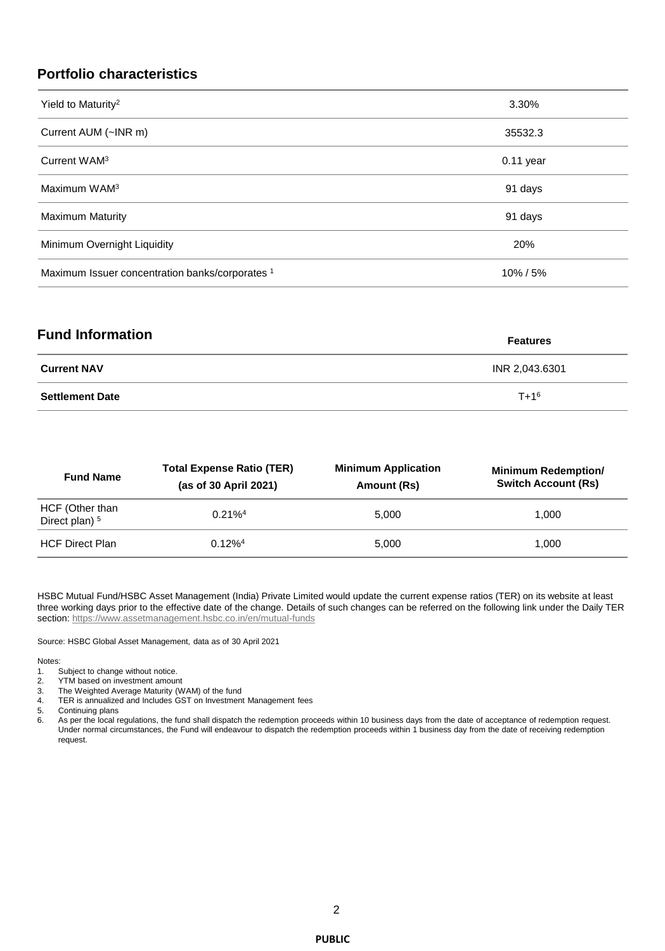#### **Portfolio characteristics**

| Yield to Maturity <sup>2</sup>                  | 3.30%       |
|-------------------------------------------------|-------------|
| Current AUM (~INR m)                            | 35532.3     |
| Current WAM <sup>3</sup>                        | $0.11$ year |
| Maximum WAM <sup>3</sup>                        | 91 days     |
| <b>Maximum Maturity</b>                         | 91 days     |
| Minimum Overnight Liquidity                     | 20%         |
| Maximum Issuer concentration banks/corporates 1 | 10%/5%      |

| <b>Fund Information</b> | <b>Features</b> |
|-------------------------|-----------------|
| <b>Current NAV</b>      | INR 2,043.6301  |
| <b>Settlement Date</b>  | $T + 1^6$       |

| <b>Fund Name</b>                             | <b>Total Expense Ratio (TER)</b><br>(as of 30 April 2021) | <b>Minimum Application</b><br>Amount (Rs) | <b>Minimum Redemption/</b><br><b>Switch Account (Rs)</b> |
|----------------------------------------------|-----------------------------------------------------------|-------------------------------------------|----------------------------------------------------------|
| HCF (Other than<br>Direct plan) <sup>5</sup> | $0.21\%$ <sup>4</sup>                                     | 5.000                                     | 1.000                                                    |
| <b>HCF Direct Plan</b>                       | $0.12\%$ <sup>4</sup>                                     | 5.000                                     | 1.000                                                    |

HSBC Mutual Fund/HSBC Asset Management (India) Private Limited would update the current expense ratios (TER) on its website at least three working days prior to the effective date of the change. Details of such changes can be referred on the following link under the Daily TER section:<https://www.assetmanagement.hsbc.co.in/en/mutual-funds>

Source: HSBC Global Asset Management, data as of 30 April 2021

#### Notes:

- 1. Subject to change without notice.
- 2. YTM based on investment amount<br>3. The Weighted Average Maturity (W
- 3. The Weighted Average Maturity (WAM) of the fund<br>4. TER is annualized and Includes GST on Investment 4. TER is annualized and Includes GST on Investment Management fees<br>5. Continuing plans
- 
- 5. Continuing plans<br>6. As per the local re As per the local regulations, the fund shall dispatch the redemption proceeds within 10 business days from the date of acceptance of redemption request. Under normal circumstances, the Fund will endeavour to dispatch the redemption proceeds within 1 business day from the date of receiving redemption request.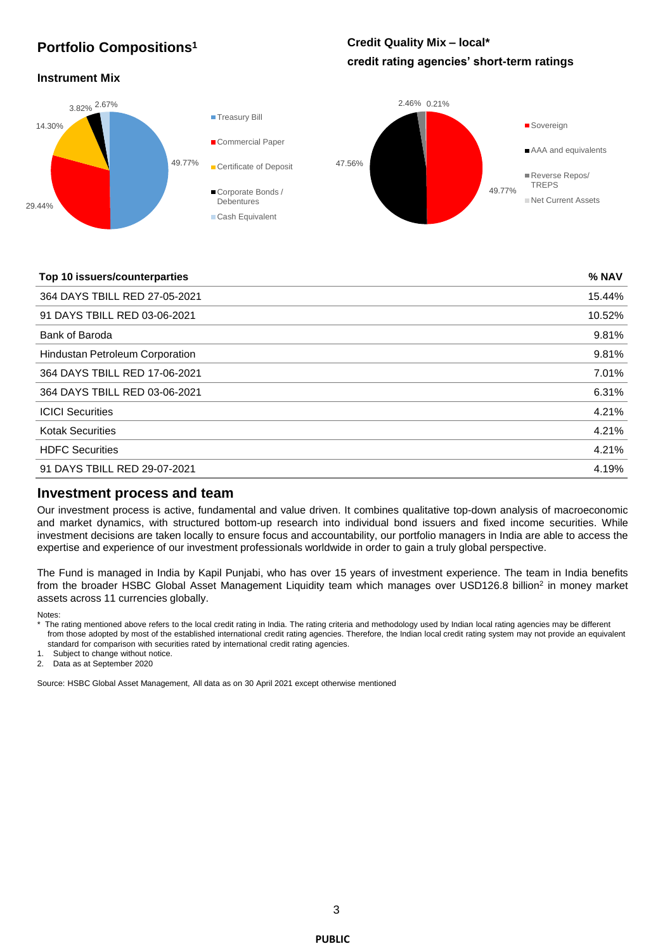#### **Portfolio Compositions<sup>1</sup>**

#### **Credit Quality Mix – local\* credit rating agencies' short-term ratings**

#### **Instrument Mix**



#### **Top 10 issuers/counterparties % NAV**

| <b>I UP TO ISSUEI S/UULIIIEI PALLIES</b> | $\sqrt{2}$ IVAV |
|------------------------------------------|-----------------|
| 364 DAYS TBILL RED 27-05-2021            | 15.44%          |
| 91 DAYS TBILL RED 03-06-2021             | 10.52%          |
| Bank of Baroda                           | 9.81%           |
| <b>Hindustan Petroleum Corporation</b>   | 9.81%           |
| 364 DAYS TBILL RED 17-06-2021            | 7.01%           |
| 364 DAYS TBILL RED 03-06-2021            | 6.31%           |
| <b>ICICI Securities</b>                  | 4.21%           |
| <b>Kotak Securities</b>                  | 4.21%           |
| <b>HDFC Securities</b>                   | 4.21%           |
| 91 DAYS TBILL RED 29-07-2021             | 4.19%           |
|                                          |                 |

#### **Investment process and team**

Our investment process is active, fundamental and value driven. It combines qualitative top-down analysis of macroeconomic and market dynamics, with structured bottom-up research into individual bond issuers and fixed income securities. While investment decisions are taken locally to ensure focus and accountability, our portfolio managers in India are able to access the expertise and experience of our investment professionals worldwide in order to gain a truly global perspective.

The Fund is managed in India by Kapil Punjabi, who has over 15 years of investment experience. The team in India benefits from the broader HSBC Global Asset Management Liquidity team which manages over USD126.8 billion<sup>2</sup> in money market assets across 11 currencies globally.

Notes:

- \* The rating mentioned above refers to the local credit rating in India. The rating criteria and methodology used by Indian local rating agencies may be different from those adopted by most of the established international credit rating agencies. Therefore, the Indian local credit rating system may not provide an equivalent standard for comparison with securities rated by international credit rating agencies.
- 1. Subject to change without notice.

2. Data as at September 2020

Source: HSBC Global Asset Management, All data as on 30 April 2021 except otherwise mentioned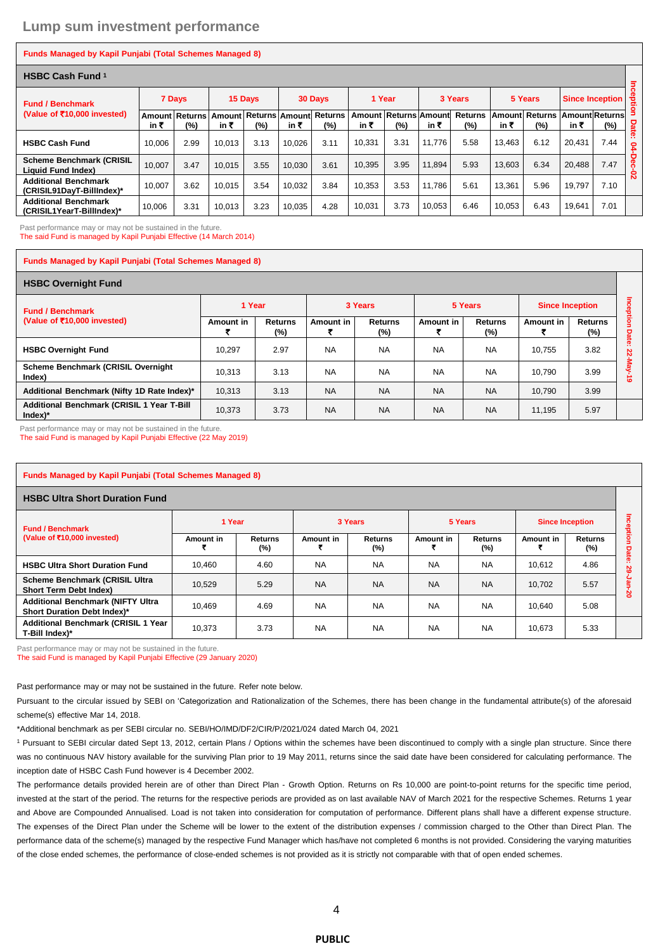#### **Funds Managed by Kapil Punjabi (Total Schemes Managed 8)**

| <b>HSBC Cash Fund 1</b>                                      |        |                              |         |                                      |         |      |                |                       |         |                       |         |                              |                             |        |              |
|--------------------------------------------------------------|--------|------------------------------|---------|--------------------------------------|---------|------|----------------|-----------------------|---------|-----------------------|---------|------------------------------|-----------------------------|--------|--------------|
| <b>Fund / Benchmark</b><br>(Value of ₹10,000 invested)       | 7 Days |                              | 15 Days |                                      | 30 Days |      | 1 Year         |                       | 3 Years |                       | 5 Years |                              | <b>Since Inception</b>      |        | Inceptio     |
|                                                              | in ₹   | <b>Amount Returns</b><br>(%) | in ₹    | Amount Returns Amount Returns<br>(%) | in ₹    | (%)  | Amount<br>in ₹ | Returns Amount<br>(%) | in ₹    | <b>Returns</b><br>(%) | in ₹    | <b>Amount Returns</b><br>(%) | <b>AmountReturns</b><br>in₹ | $(\%)$ | <b>Date:</b> |
| <b>HSBC Cash Fund</b>                                        | 10,006 | 2.99                         | 10.013  | 3.13                                 | 10.026  | 3.11 | 10.331         | 3.31                  | 11.776  | 5.58                  | 13.463  | 6.12                         | 20,431                      | 7.44   | ءِ           |
| <b>Scheme Benchmark (CRISIL</b><br><b>Liquid Fund Index)</b> | 10.007 | 3.47                         | 10.015  | 3.55                                 | 10.030  | 3.61 | 10.395         | 3.95                  | 11.894  | 5.93                  | 13,603  | 6.34                         | 20.488                      | 7.47   | ခွ<br>õ      |
| <b>Additional Benchmark</b><br>(CRISIL91DavT-BillIndex)*     | 10,007 | 3.62                         | 10.015  | 3.54                                 | 10.032  | 3.84 | 10.353         | 3.53                  | 11.786  | 5.61                  | 13.361  | 5.96                         | 19.797                      | 7.10   | ន            |
| <b>Additional Benchmark</b><br>(CRISIL1YearT-BillIndex)*     | 10,006 | 3.31                         | 10.013  | 3.23                                 | 10.035  | 4.28 | 10.031         | 3.73                  | 10.053  | 6.46                  | 10,053  | 6.43                         | 19.641                      | 7.01   |              |

Past performance may or may not be sustained in the future. The said Fund is managed by Kapil Punjabi Effective (14 March 2014)

#### **Funds Managed by Kapil Punjabi (Total Schemes Managed 8)**

| <b>HSBC Overnight Fund</b>                                         |           |                          |           |                       |           |                       |                        |                       |              |
|--------------------------------------------------------------------|-----------|--------------------------|-----------|-----------------------|-----------|-----------------------|------------------------|-----------------------|--------------|
| <b>Fund / Benchmark</b><br>(Value of ₹10,000 invested)             | 1 Year    |                          | 3 Years   |                       | 5 Years   |                       | <b>Since Inception</b> |                       |              |
|                                                                    | Amount in | <b>Returns</b><br>$(\%)$ | Amount in | <b>Returns</b><br>(%) | Amount in | <b>Returns</b><br>(%) | Amount in              | <b>Returns</b><br>(%) | ğion<br>Date |
| <b>HSBC Overnight Fund</b>                                         | 10.297    | 2.97                     | <b>NA</b> | <b>NA</b>             | <b>NA</b> | <b>NA</b>             | 10.755                 | 3.82                  | n<br>ž       |
| <b>Scheme Benchmark (CRISIL Overnight</b><br>Index)                | 10.313    | 3.13                     | <b>NA</b> | <b>NA</b>             | <b>NA</b> | <b>NA</b>             | 10.790                 | 3.99                  | ᄛ<br>$\circ$ |
| Additional Benchmark (Nifty 1D Rate Index)*                        | 10,313    | 3.13                     | <b>NA</b> | <b>NA</b>             | <b>NA</b> | <b>NA</b>             | 10.790                 | 3.99                  |              |
| Additional Benchmark (CRISIL 1 Year T-Bill<br>$Index$ <sup>*</sup> | 10.373    | 3.73                     | <b>NA</b> | <b>NA</b>             | <b>NA</b> | <b>NA</b>             | 11.195                 | 5.97                  |              |

Past performance may or may not be sustained in the future.

The said Fund is managed by Kapil Punjabi Effective (22 May 2019)

| <b>Funds Managed by Kapil Punjabi (Total Schemes Managed 8)</b>         |           |                   |           |                |           |                |                        |                    |        |  |
|-------------------------------------------------------------------------|-----------|-------------------|-----------|----------------|-----------|----------------|------------------------|--------------------|--------|--|
| <b>HSBC Ultra Short Duration Fund</b>                                   |           |                   |           |                |           |                |                        |                    |        |  |
| <b>Fund / Benchmark</b><br>(Value of ₹10,000 invested)                  | 1 Year    |                   |           | 3 Years        |           | 5 Years        | <b>Since Inception</b> |                    | ह<br>ō |  |
|                                                                         | Amount in | Returns<br>$(\%)$ | Amount in | Returns<br>(%) | Amount in | Returns<br>(%) | Amount in              | Returns<br>$(\% )$ | ま<br>o |  |
| <b>HSBC Ultra Short Duration Fund</b>                                   | 10,460    | 4.60              | <b>NA</b> | <b>NA</b>      | <b>NA</b> | <b>NA</b>      | 10,612                 | 4.86               | ន      |  |
| Scheme Benchmark (CRISIL Ultra<br><b>Short Term Debt Index)</b>         | 10,529    | 5.29              | <b>NA</b> | <b>NA</b>      | <b>NA</b> | <b>NA</b>      | 10,702                 | 5.57               | 20     |  |
| <b>Additional Benchmark (NIFTY Ultra</b><br>Short Duration Debt Index)* | 10,469    | 4.69              | <b>NA</b> | <b>NA</b>      | <b>NA</b> | <b>NA</b>      | 10,640                 | 5.08               |        |  |
| <b>Additional Benchmark (CRISIL 1 Year</b><br>T-Bill Index)*            | 10,373    | 3.73              | <b>NA</b> | <b>NA</b>      | <b>NA</b> | <b>NA</b>      | 10,673                 | 5.33               |        |  |

Past performance may or may not be sustained in the future.

The said Fund is managed by Kapil Punjabi Effective (29 January 2020)

Past performance may or may not be sustained in the future. Refer note below.

Pursuant to the circular issued by SEBI on 'Categorization and Rationalization of the Schemes, there has been change in the fundamental attribute(s) of the aforesaid scheme(s) effective Mar 14, 2018.

\*Additional benchmark as per SEBI circular no. SEBI/HO/IMD/DF2/CIR/P/2021/024 dated March 04, 2021

<sup>1</sup> Pursuant to SEBI circular dated Sept 13, 2012, certain Plans / Options within the schemes have been discontinued to comply with a single plan structure. Since there was no continuous NAV history available for the surviving Plan prior to 19 May 2011, returns since the said date have been considered for calculating performance. The inception date of HSBC Cash Fund however is 4 December 2002.

The performance details provided herein are of other than Direct Plan - Growth Option. Returns on Rs 10,000 are point-to-point returns for the specific time period, invested at the start of the period. The returns for the respective periods are provided as on last available NAV of March 2021 for the respective Schemes. Returns 1 year and Above are Compounded Annualised. Load is not taken into consideration for computation of performance. Different plans shall have a different expense structure. The expenses of the Direct Plan under the Scheme will be lower to the extent of the distribution expenses / commission charged to the Other than Direct Plan. The performance data of the scheme(s) managed by the respective Fund Manager which has/have not completed 6 months is not provided. Considering the varying maturities of the close ended schemes, the performance of close-ended schemes is not provided as it is strictly not comparable with that of open ended schemes.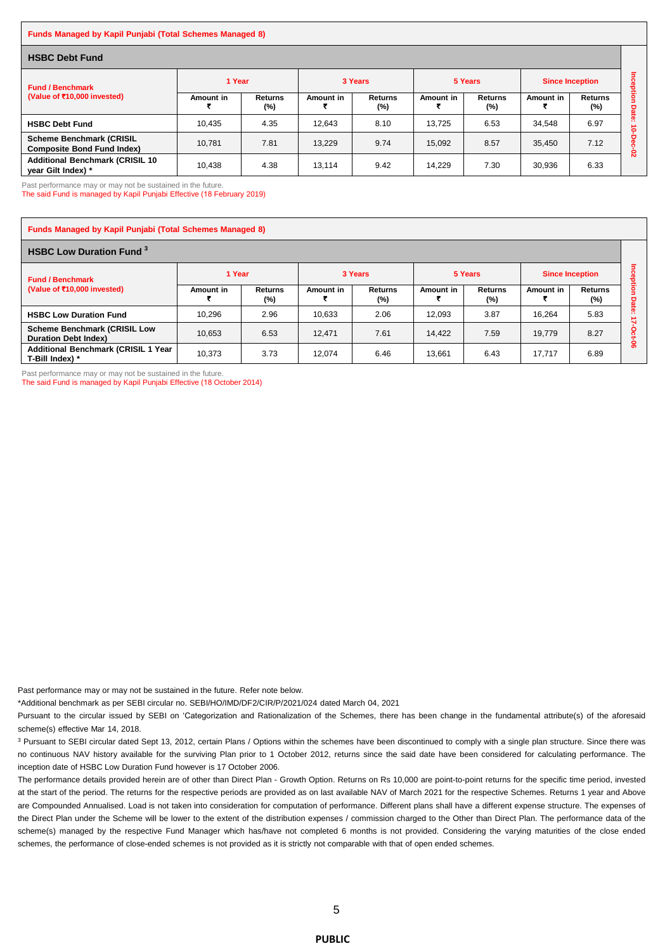#### **Funds Managed by Kapil Punjabi (Total Schemes Managed 8)**

| <b>HSBC Debt Fund</b>                                                |           |                          |           |                          |           |                       |                        |                       |        |
|----------------------------------------------------------------------|-----------|--------------------------|-----------|--------------------------|-----------|-----------------------|------------------------|-----------------------|--------|
| <b>Fund / Benchmark</b><br>(Value of ₹10,000 invested)               | 1 Year    |                          | 3 Years   |                          | 5 Years   |                       | <b>Since Inception</b> |                       |        |
|                                                                      | Amount in | <b>Returns</b><br>$(\%)$ | Amount in | <b>Returns</b><br>$(\%)$ | Amount in | <b>Returns</b><br>(%) | Amount in              | <b>Returns</b><br>(%) | g<br>o |
| <b>HSBC Debt Fund</b>                                                | 10,435    | 4.35                     | 12.643    | 8.10                     | 13.725    | 6.53                  | 34,548                 | 6.97                  | ate:   |
| <b>Scheme Benchmark (CRISIL</b><br><b>Composite Bond Fund Index)</b> | 10.781    | 7.81                     | 13.229    | 9.74                     | 15.092    | 8.57                  | 35.450                 | 7.12                  | ន      |
| <b>Additional Benchmark (CRISIL 10)</b><br>year Gilt Index) *        | 10.438    | 4.38                     | 13.114    | 9.42                     | 14.229    | 7.30                  | 30.936                 | 6.33                  |        |

Past performance may or may not be sustained in the future.

The said Fund is managed by Kapil Punjabi Effective (18 February 2019)

| <b>Funds Managed by Kapil Punjabi (Total Schemes Managed 8)</b>    |           |                          |           |                       |           |                       |                        |                          |     |  |
|--------------------------------------------------------------------|-----------|--------------------------|-----------|-----------------------|-----------|-----------------------|------------------------|--------------------------|-----|--|
| <b>HSBC Low Duration Fund 3</b>                                    |           |                          |           |                       |           |                       |                        |                          |     |  |
| <b>Fund / Benchmark</b><br>(Value of ₹10,000 invested)             | 1 Year    |                          | 3 Years   |                       | 5 Years   |                       | <b>Since Inception</b> |                          |     |  |
|                                                                    | Amount in | <b>Returns</b><br>$(\%)$ | Amount in | <b>Returns</b><br>(%) | Amount in | <b>Returns</b><br>(%) | Amount in              | <b>Returns</b><br>$(\%)$ | Dat |  |
| <b>HSBC Low Duration Fund</b>                                      | 10.296    | 2.96                     | 10.633    | 2.06                  | 12.093    | 3.87                  | 16.264                 | 5.83                     |     |  |
| <b>Scheme Benchmark (CRISIL Low</b><br><b>Duration Debt Index)</b> | 10.653    | 6.53                     | 12.471    | 7.61                  | 14.422    | 7.59                  | 19.779                 | 8.27                     |     |  |
| <b>Additional Benchmark (CRISIL 1 Year</b><br>T-Bill Index) *      | 10.373    | 3.73                     | 12.074    | 6.46                  | 13,661    | 6.43                  | 17,717                 | 6.89                     | ႜ   |  |

Past performance may or may not be sustained in the future.

The said Fund is managed by Kapil Punjabi Effective (18 October 2014)

Past performance may or may not be sustained in the future. Refer note below.

\*Additional benchmark as per SEBI circular no. SEBI/HO/IMD/DF2/CIR/P/2021/024 dated March 04, 2021

Pursuant to the circular issued by SEBI on 'Categorization and Rationalization of the Schemes, there has been change in the fundamental attribute(s) of the aforesaid scheme(s) effective Mar 14, 2018.

<sup>3</sup> Pursuant to SEBI circular dated Sept 13, 2012, certain Plans / Options within the schemes have been discontinued to comply with a single plan structure. Since there was no continuous NAV history available for the surviving Plan prior to 1 October 2012, returns since the said date have been considered for calculating performance. The inception date of HSBC Low Duration Fund however is 17 October 2006.

The performance details provided herein are of other than Direct Plan - Growth Option. Returns on Rs 10,000 are point-to-point returns for the specific time period, invested at the start of the period. The returns for the respective periods are provided as on last available NAV of March 2021 for the respective Schemes. Returns 1 year and Above are Compounded Annualised. Load is not taken into consideration for computation of performance. Different plans shall have a different expense structure. The expenses of the Direct Plan under the Scheme will be lower to the extent of the distribution expenses / commission charged to the Other than Direct Plan. The performance data of the scheme(s) managed by the respective Fund Manager which has/have not completed 6 months is not provided. Considering the varying maturities of the close ended schemes, the performance of close-ended schemes is not provided as it is strictly not comparable with that of open ended schemes.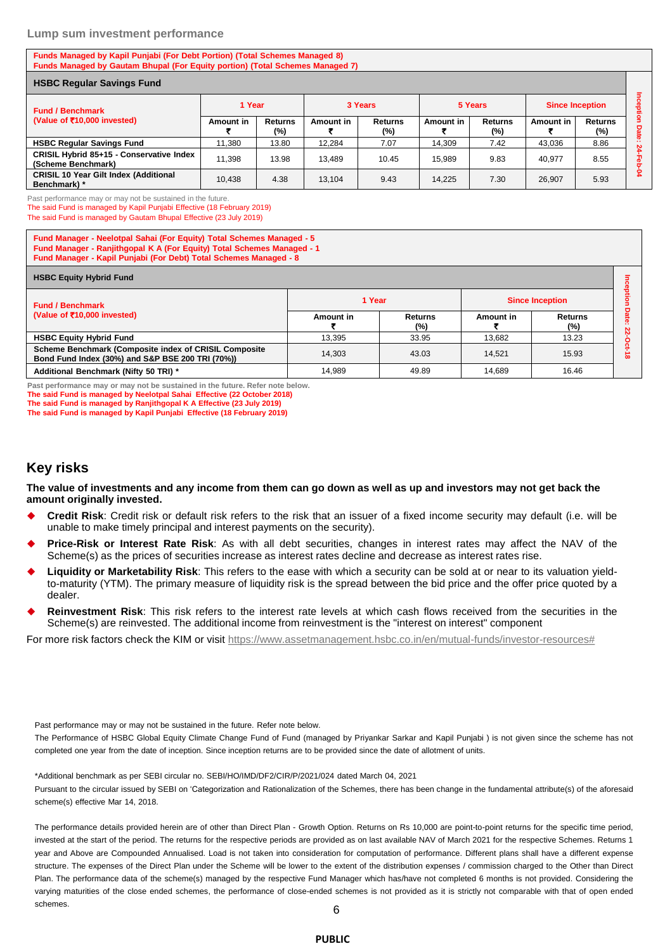#### **Lump sum investment performance**

#### **Funds Managed by Kapil Punjabi (For Debt Portion) (Total Schemes Managed 8) Funds Managed by Gautam Bhupal (For Equity portion) (Total Schemes Managed 7)**

| <b>HSBC Regular Savings Fund</b>                       |                  |                       |           |                   |           |                          |                        |                       |     |
|--------------------------------------------------------|------------------|-----------------------|-----------|-------------------|-----------|--------------------------|------------------------|-----------------------|-----|
| <b>Fund / Benchmark</b><br>(Value of ₹10,000 invested) | 1 Year           |                       | 3 Years   |                   | 5 Years   |                          | <b>Since Inception</b> |                       | ន្ល |
|                                                        | <b>Amount in</b> | <b>Returns</b><br>(%) | Amount in | Returns<br>$(\%)$ | Amount in | <b>Returns</b><br>$(\%)$ | Amount in              | <b>Returns</b><br>(%) | o   |
|                                                        |                  |                       |           |                   |           |                          |                        |                       | eig |
| <b>HSBC Regular Savings Fund</b>                       | 11.380           | 13.80                 | 12.284    | 7.07              | 14.309    | 7.42                     | 43.036                 | 8.86                  | N   |
| CRISIL Hybrid 85+15 - Conservative Index               | 11.398           | 13.98                 | 13.489    | 10.45             | 15.989    | 9.83                     | 40.977                 | 8.55                  |     |
| (Scheme Benchmark)                                     |                  |                       |           |                   |           |                          |                        |                       |     |
| <b>CRISIL 10 Year Gilt Index (Additional</b>           | 10.438           | 4.38                  | 13.104    | 9.43              | 14.225    | 7.30                     | 26.907                 | 5.93                  |     |
| Benchmark) *                                           |                  |                       |           |                   |           |                          |                        |                       |     |

Past performance may or may not be sustained in the future.

The said Fund is managed by Kapil Punjabi Effective (18 February 2019) The said Fund is managed by Gautam Bhupal Effective (23 July 2019)

**Fund Manager - Neelotpal Sahai (For Equity) Total Schemes Managed - 5 Fund Manager - Ranjithgopal K A (For Equity) Total Schemes Managed - 1 Fund Manager - Kapil Punjabi (For Debt) Total Schemes Managed - 8**

| <b>HSBC Equity Hybrid Fund</b>                                                                            |           |                |                        |                          |          |
|-----------------------------------------------------------------------------------------------------------|-----------|----------------|------------------------|--------------------------|----------|
| <b>Fund / Benchmark</b><br>(Value of ₹10,000 invested)                                                    | 1 Year    |                | <b>Since Inception</b> |                          |          |
|                                                                                                           | Amount in | Returns<br>(%) | Amount in              | <b>Returns</b><br>$(\%)$ | . .<br>N |
| <b>HSBC Equity Hybrid Fund</b>                                                                            | 13.395    | 33.95          | 13.682                 | 13.23                    |          |
| Scheme Benchmark (Composite index of CRISIL Composite<br>Bond Fund Index (30%) and S&P BSE 200 TRI (70%)) | 14.303    | 43.03          | 14.521                 | 15.93                    | $\infty$ |
| Additional Benchmark (Nifty 50 TRI) *                                                                     | 14.989    | 49.89          | 14.689                 | 16.46                    |          |

**Past performance may or may not be sustained in the future. Refer note below. The said Fund is managed by Neelotpal Sahai Effective (22 October 2018) The said Fund is managed by Ranjithgopal K A Effective (23 July 2019)**

**The said Fund is managed by Kapil Punjabi Effective (18 February 2019)**

#### **Key risks**

**The value of investments and any income from them can go down as well as up and investors may not get back the amount originally invested.** 

- **Credit Risk**: Credit risk or default risk refers to the risk that an issuer of a fixed income security may default (i.e. will be unable to make timely principal and interest payments on the security).
- **Price-Risk or Interest Rate Risk**: As with all debt securities, changes in interest rates may affect the NAV of the Scheme(s) as the prices of securities increase as interest rates decline and decrease as interest rates rise.
- **Liquidity or Marketability Risk**: This refers to the ease with which a security can be sold at or near to its valuation yieldto-maturity (YTM). The primary measure of liquidity risk is the spread between the bid price and the offer price quoted by a dealer.
- **Reinvestment Risk**: This risk refers to the interest rate levels at which cash flows received from the securities in the Scheme(s) are reinvested. The additional income from reinvestment is the "interest on interest" component

For more risk factors check the KIM or visit [https://www.assetmanagement.hsbc.co.in/en/mutual-funds/investor-resources#](https://www.assetmanagement.hsbc.co.in/en/mutual-funds/investor-resources)

Past performance may or may not be sustained in the future. Refer note below.

The Performance of HSBC Global Equity Climate Change Fund of Fund (managed by Priyankar Sarkar and Kapil Punjabi ) is not given since the scheme has not completed one year from the date of inception. Since inception returns are to be provided since the date of allotment of units.

\*Additional benchmark as per SEBI circular no. SEBI/HO/IMD/DF2/CIR/P/2021/024 dated March 04, 2021 Pursuant to the circular issued by SEBI on 'Categorization and Rationalization of the Schemes, there has been change in the fundamental attribute(s) of the aforesaid scheme(s) effective Mar 14, 2018.

The performance details provided herein are of other than Direct Plan - Growth Option. Returns on Rs 10,000 are point-to-point returns for the specific time period, invested at the start of the period. The returns for the respective periods are provided as on last available NAV of March 2021 for the respective Schemes. Returns 1 year and Above are Compounded Annualised. Load is not taken into consideration for computation of performance. Different plans shall have a different expense structure. The expenses of the Direct Plan under the Scheme will be lower to the extent of the distribution expenses / commission charged to the Other than Direct Plan. The performance data of the scheme(s) managed by the respective Fund Manager which has/have not completed 6 months is not provided. Considering the varying maturities of the close ended schemes, the performance of close-ended schemes is not provided as it is strictly not comparable with that of open ended schemes.

#### **PUBLIC**